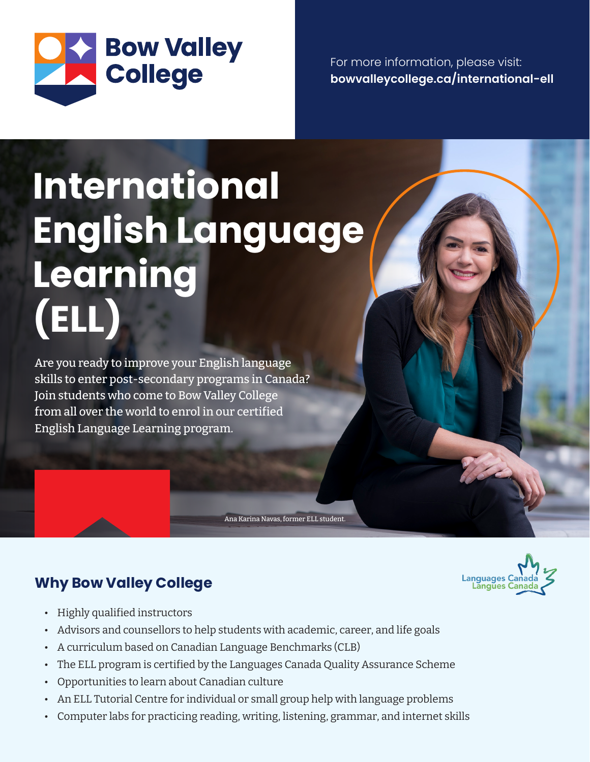

For more information, please visit: **bowvalleycollege.ca/international-ell**

## **International English Language Learning (ELL)**

Are you ready to improve your English language skills to enter post-secondary programs in Canada? Join students who come to Bow Valley College from all over the world to enrol in our certified English Language Learning program.

## **Why Bow Valley College**



- Highly qualified instructors
- Advisors and counsellors to help students with academic, career, and life goals
- A curriculum based on Canadian Language Benchmarks (CLB)
- The ELL program is certified by the Languages Canada Quality Assurance Scheme

Ana Karina Navas, former ELL student.

- Opportunities to learn about Canadian culture
- An ELL Tutorial Centre for individual or small group help with language problems
- Computer labs for practicing reading, writing, listening, grammar, and internet skills